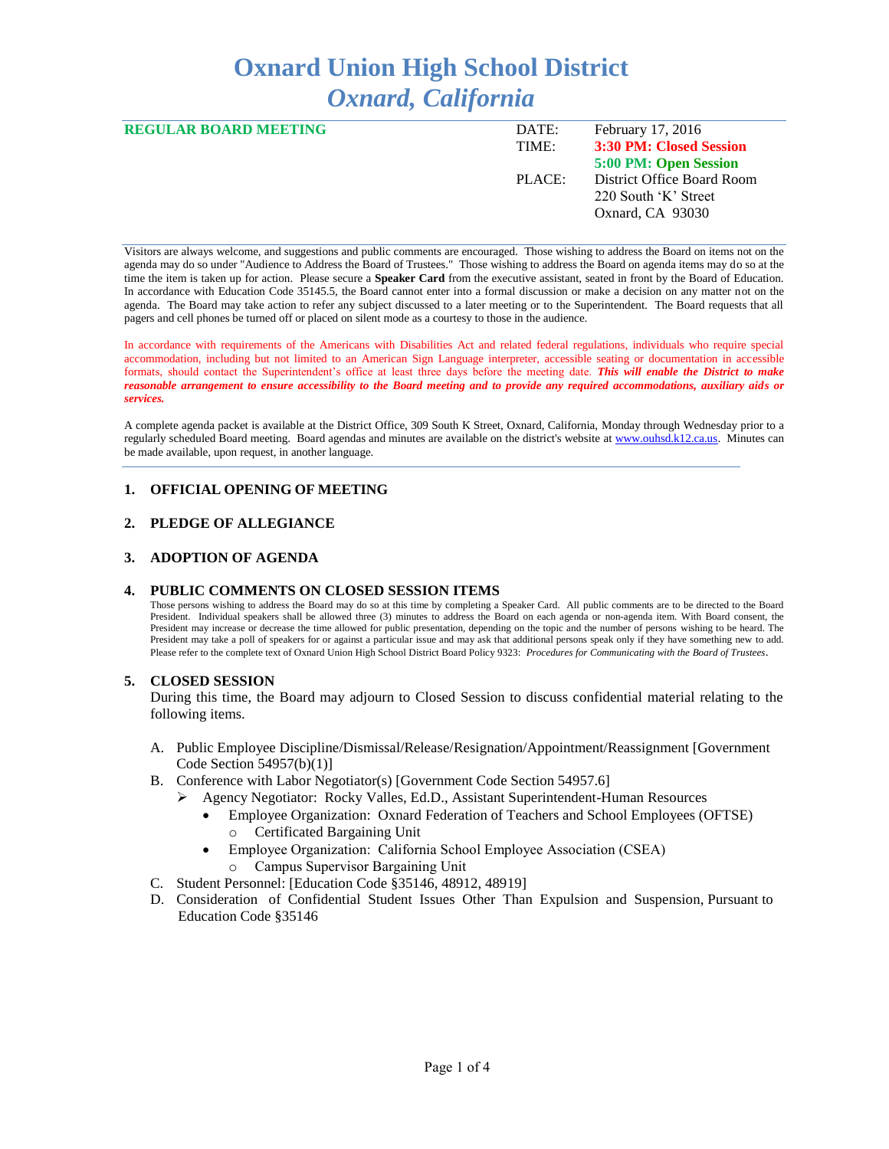# **Oxnard Union High School District** *Oxnard, California*

| <b>REGULAR BOARD MEETING</b> | DATE:  | February 17, 2016          |
|------------------------------|--------|----------------------------|
|                              | TIME:  | 3:30 PM: Closed Session    |
|                              |        | 5:00 PM: Open Session      |
|                              | PLACE: | District Office Board Room |
|                              |        | 220 South 'K' Street       |
|                              |        | Oxnard, CA 93030           |
|                              |        |                            |

Visitors are always welcome, and suggestions and public comments are encouraged. Those wishing to address the Board on items not on the agenda may do so under "Audience to Address the Board of Trustees." Those wishing to address the Board on agenda items may do so at the time the item is taken up for action. Please secure a **Speaker Card** from the executive assistant, seated in front by the Board of Education. In accordance with Education Code 35145.5, the Board cannot enter into a formal discussion or make a decision on any matter not on the agenda. The Board may take action to refer any subject discussed to a later meeting or to the Superintendent. The Board requests that all pagers and cell phones be turned off or placed on silent mode as a courtesy to those in the audience.

In accordance with requirements of the Americans with Disabilities Act and related federal regulations, individuals who require special accommodation, including but not limited to an American Sign Language interpreter, accessible seating or documentation in accessible formats, should contact the Superintendent's office at least three days before the meeting date. *This will enable the District to make reasonable arrangement to ensure accessibility to the Board meeting and to provide any required accommodations, auxiliary aids or services.* 

A complete agenda packet is available at the District Office, 309 South K Street, Oxnard, California, Monday through Wednesday prior to a regularly scheduled Board meeting. Board agendas and minutes are available on the district's website a[t www.ouhsd.k12.ca.us.](http://www.ouhsd.k12.ca.us/)Minutes can be made available, upon request, in another language.

### **1. OFFICIAL OPENING OF MEETING**

### **2. PLEDGE OF ALLEGIANCE**

### **3. ADOPTION OF AGENDA**

### **4. PUBLIC COMMENTS ON CLOSED SESSION ITEMS**

Those persons wishing to address the Board may do so at this time by completing a Speaker Card. All public comments are to be directed to the Board President. Individual speakers shall be allowed three (3) minutes to address the Board on each agenda or non-agenda item. With Board consent, the President may increase or decrease the time allowed for public presentation, depending on the topic and the number of persons wishing to be heard. The President may take a poll of speakers for or against a particular issue and may ask that additional persons speak only if they have something new to add. Please refer to the complete text of Oxnard Union High School District Board Policy 9323: *Procedures for Communicating with the Board of Trustees*.

### **5. CLOSED SESSION**

During this time, the Board may adjourn to Closed Session to discuss confidential material relating to the following items.

- A. Public Employee Discipline/Dismissal/Release/Resignation/Appointment/Reassignment [Government Code Section 54957(b)(1)]
- B. Conference with Labor Negotiator(s) [Government Code Section 54957.6]
	- Agency Negotiator: Rocky Valles, Ed.D., Assistant Superintendent-Human Resources
		- Employee Organization: Oxnard Federation of Teachers and School Employees (OFTSE) o Certificated Bargaining Unit
		- Employee Organization: California School Employee Association (CSEA)
			- o Campus Supervisor Bargaining Unit
- C. Student Personnel: [Education Code §35146, 48912, 48919]
- D. Consideration of Confidential Student Issues Other Than Expulsion and Suspension, Pursuant to Education Code §35146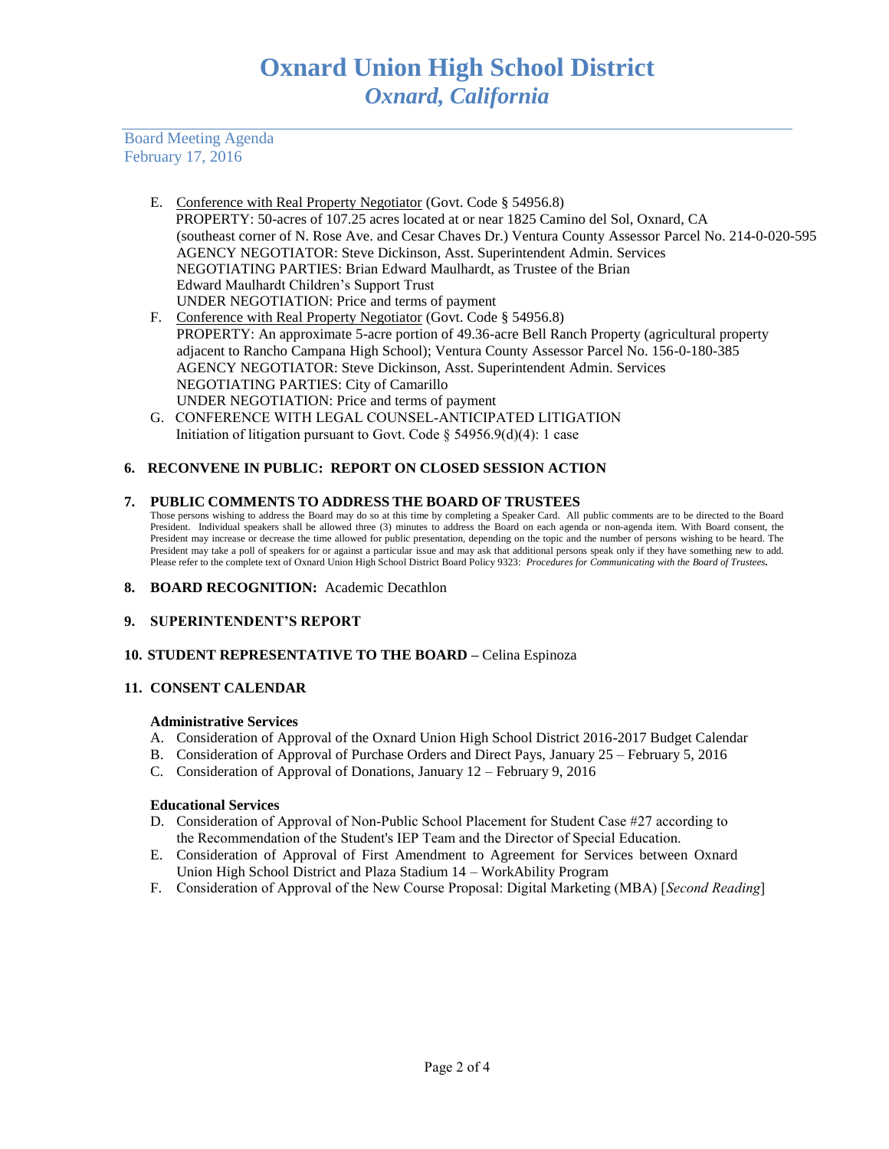Board Meeting Agenda February 17, 2016

- E. Conference with Real Property Negotiator (Govt. Code § 54956.8) PROPERTY: 50-acres of 107.25 acres located at or near 1825 Camino del Sol, Oxnard, CA (southeast corner of N. Rose Ave. and Cesar Chaves Dr.) Ventura County Assessor Parcel No. 214-0-020-595 AGENCY NEGOTIATOR: Steve Dickinson, Asst. Superintendent Admin. Services NEGOTIATING PARTIES: Brian Edward Maulhardt, as Trustee of the Brian Edward Maulhardt Children's Support Trust UNDER NEGOTIATION: Price and terms of payment
- F. Conference with Real Property Negotiator (Govt. Code § 54956.8) PROPERTY: An approximate 5-acre portion of 49.36-acre Bell Ranch Property (agricultural property adjacent to Rancho Campana High School); Ventura County Assessor Parcel No. 156-0-180-385 AGENCY NEGOTIATOR: Steve Dickinson, Asst. Superintendent Admin. Services NEGOTIATING PARTIES: City of Camarillo UNDER NEGOTIATION: Price and terms of payment
- G. CONFERENCE WITH LEGAL COUNSEL-ANTICIPATED LITIGATION Initiation of litigation pursuant to Govt. Code  $\S$  54956.9(d)(4): 1 case

# **6. RECONVENE IN PUBLIC: REPORT ON CLOSED SESSION ACTION**

#### **7. PUBLIC COMMENTS TO ADDRESS THE BOARD OF TRUSTEES**

Those persons wishing to address the Board may do so at this time by completing a Speaker Card. All public comments are to be directed to the Board President. Individual speakers shall be allowed three (3) minutes to address the Board on each agenda or non-agenda item. With Board consent, the President may increase or decrease the time allowed for public presentation, depending on the topic and the number of persons wishing to be heard. The President may take a poll of speakers for or against a particular issue and may ask that additional persons speak only if they have something new to add. Please refer to the complete text of Oxnard Union High School District Board Policy 9323: *Procedures for Communicating with the Board of Trustees.*

- **8. BOARD RECOGNITION:** Academic Decathlon
- **9. SUPERINTENDENT'S REPORT**

### **10. STUDENT REPRESENTATIVE TO THE BOARD –** Celina Espinoza

### **11. CONSENT CALENDAR**

#### **Administrative Services**

- A. Consideration of Approval of the Oxnard Union High School District 2016-2017 Budget Calendar
- B. Consideration of Approval of Purchase Orders and Direct Pays, January 25 February 5, 2016
- C. Consideration of Approval of Donations, January 12 February 9, 2016

#### **Educational Services**

- D. Consideration of Approval of Non-Public School Placement for Student Case #27 according to the Recommendation of the Student's IEP Team and the Director of Special Education.
- E. Consideration of Approval of First Amendment to Agreement for Services between Oxnard Union High School District and Plaza Stadium 14 – WorkAbility Program
- F. Consideration of Approval of the New Course Proposal: Digital Marketing (MBA) [*Second Reading*]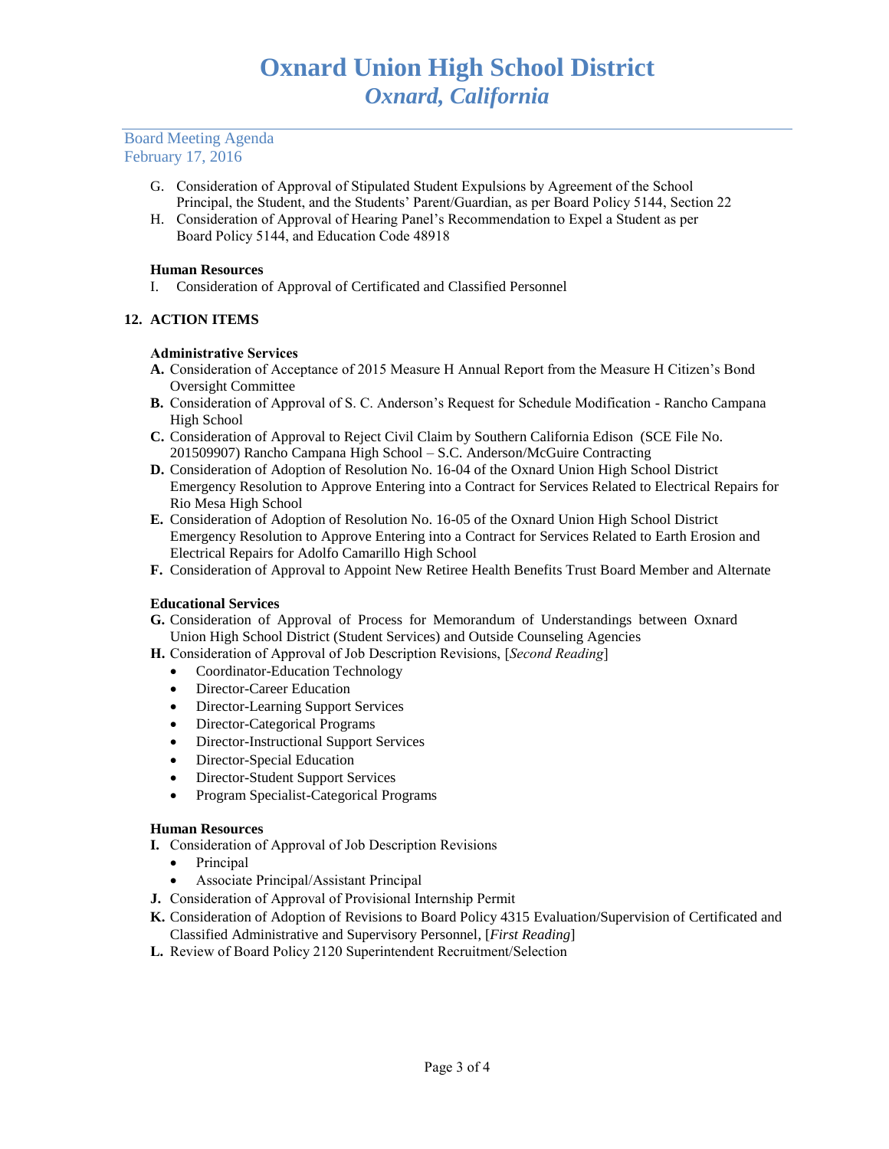## Board Meeting Agenda February 17, 2016

- G. Consideration of Approval of Stipulated Student Expulsions by Agreement of the School Principal, the Student, and the Students' Parent/Guardian, as per Board Policy 5144, Section 22
- H. Consideration of Approval of Hearing Panel's Recommendation to Expel a Student as per Board Policy 5144, and Education Code 48918

## **Human Resources**

I. Consideration of Approval of Certificated and Classified Personnel

# **12. ACTION ITEMS**

## **Administrative Services**

- **A.** Consideration of Acceptance of 2015 Measure H Annual Report from the Measure H Citizen's Bond Oversight Committee
- **B.** Consideration of Approval of S. C. Anderson's Request for Schedule Modification Rancho Campana High School
- **C.** Consideration of Approval to Reject Civil Claim by Southern California Edison (SCE File No. 201509907) Rancho Campana High School – S.C. Anderson/McGuire Contracting
- **D.** Consideration of Adoption of Resolution No. 16-04 of the Oxnard Union High School District Emergency Resolution to Approve Entering into a Contract for Services Related to Electrical Repairs for Rio Mesa High School
- **E.** Consideration of Adoption of Resolution No. 16-05 of the Oxnard Union High School District Emergency Resolution to Approve Entering into a Contract for Services Related to Earth Erosion and Electrical Repairs for Adolfo Camarillo High School
- **F.** Consideration of Approval to Appoint New Retiree Health Benefits Trust Board Member and Alternate

# **Educational Services**

- **G.** Consideration of Approval of Process for Memorandum of Understandings between Oxnard Union High School District (Student Services) and Outside Counseling Agencies
- **H.** Consideration of Approval of Job Description Revisions, [*Second Reading*]
	- Coordinator-Education Technology
	- Director-Career Education
	- Director-Learning Support Services
	- Director-Categorical Programs
	- Director-Instructional Support Services
	- Director-Special Education
	- Director-Student Support Services
	- Program Specialist-Categorical Programs

### **Human Resources**

- **I.** Consideration of Approval of Job Description Revisions
	- Principal
	- Associate Principal/Assistant Principal
- **J.** Consideration of Approval of Provisional Internship Permit
- **K.** Consideration of Adoption of Revisions to Board Policy 4315 Evaluation/Supervision of Certificated and Classified Administrative and Supervisory Personnel, [*First Reading*]
- **L.** Review of Board Policy 2120 Superintendent Recruitment/Selection